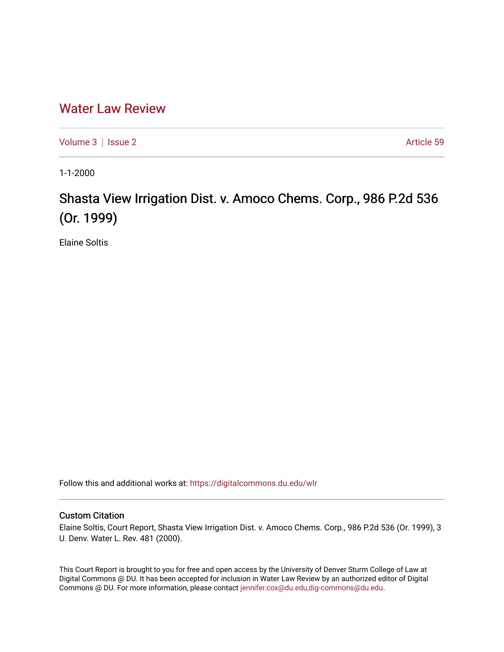## [Water Law Review](https://digitalcommons.du.edu/wlr)

[Volume 3](https://digitalcommons.du.edu/wlr/vol3) | [Issue 2](https://digitalcommons.du.edu/wlr/vol3/iss2) Article 59

1-1-2000

## Shasta View Irrigation Dist. v. Amoco Chems. Corp., 986 P.2d 536 (Or. 1999)

Elaine Soltis

Follow this and additional works at: [https://digitalcommons.du.edu/wlr](https://digitalcommons.du.edu/wlr?utm_source=digitalcommons.du.edu%2Fwlr%2Fvol3%2Fiss2%2F59&utm_medium=PDF&utm_campaign=PDFCoverPages) 

## Custom Citation

Elaine Soltis, Court Report, Shasta View Irrigation Dist. v. Amoco Chems. Corp., 986 P.2d 536 (Or. 1999), 3 U. Denv. Water L. Rev. 481 (2000).

This Court Report is brought to you for free and open access by the University of Denver Sturm College of Law at Digital Commons @ DU. It has been accepted for inclusion in Water Law Review by an authorized editor of Digital Commons @ DU. For more information, please contact [jennifer.cox@du.edu,dig-commons@du.edu.](mailto:jennifer.cox@du.edu,dig-commons@du.edu)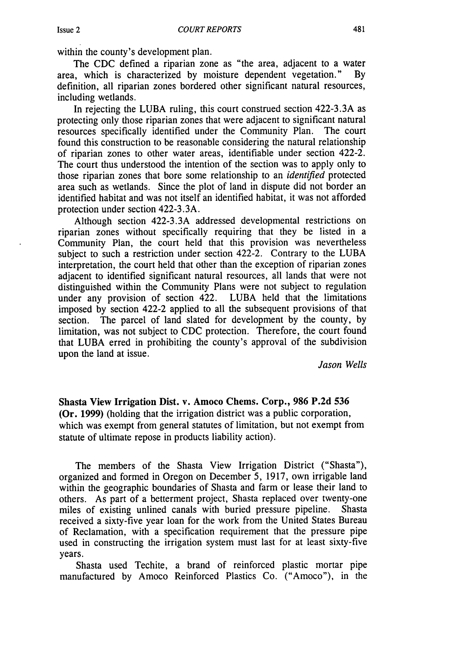within the county's development plan.

The CDC defined a riparian zone as "the area, adjacent to a water area, which is characterized by moisture dependent vegetation." By definition, all riparian zones bordered other significant natural resources, including wetlands.

In rejecting the LUBA ruling, this court construed section 422-3.3A as protecting only those riparian zones that were adjacent to significant natural resources specifically identified under the Community Plan. The court found this construction to be reasonable considering the natural relationship of riparian zones to other water areas, identifiable under section 422-2. The court thus understood the intention of the section was to apply only to those riparian zones that bore some relationship to an *identified* protected area such as wetlands. Since the plot of land in dispute did not border an identified habitat and was not itself an identified habitat, it was not afforded protection under section 422-3.3A.

Although section 422-3.3A addressed developmental restrictions on riparian zones without specifically requiring that they be listed in a Community Plan, the court held that this provision was nevertheless subject to such a restriction under section 422-2. Contrary to the LUBA interpretation, the court held that other than the exception of riparian zones adjacent to identified significant natural resources, all lands that were not distinguished within the Community Plans were not subject to regulation under any provision of section 422. LUBA held that the limitations imposed by section 422-2 applied to all the subsequent provisions of that section. The parcel of land slated for development by the county, by limitation, was not subject to CDC protection. Therefore, the court found that LUBA erred in prohibiting the county's approval of the subdivision upon the land at issue.

*Jason Wells*

Shasta View Irrigation Dist. v. Amoco Chems. Corp., **986 P.2d 536** (Or. **1999)** (holding that the irrigation district was a public corporation, which was exempt from general statutes of limitation, but not exempt from statute of ultimate repose in products liability action).

The members of the Shasta View Irrigation District ("Shasta"), organized and formed in Oregon on December 5, 1917, own irrigable land within the geographic boundaries of Shasta and farm or lease their land to others. As part of a betterment project, Shasta replaced over twenty-one miles of existing unlined canals with buried pressure pipeline. Shasta received a sixty-five year loan for the work from the United States Bureau of Reclamation, with a specification requirement that the pressure pipe used in constructing the irrigation system must last for at least sixty-five years.

Shasta used Techite, a brand of reinforced plastic mortar pipe manufactured by Amoco Reinforced Plastics Co. ("Amoco"), in the